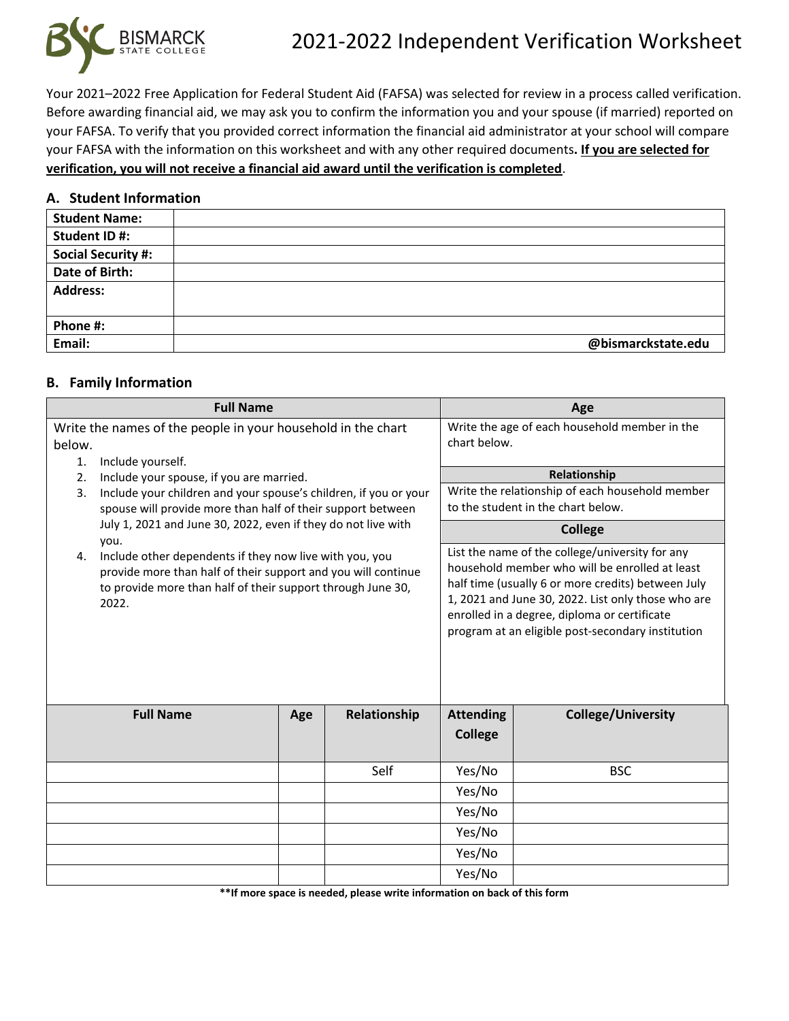

Your 2021–2022 Free Application for Federal Student Aid (FAFSA) was selected for review in a process called verification. Before awarding financial aid, we may ask you to confirm the information you and your spouse (if married) reported on your FAFSA. To verify that you provided correct information the financial aid administrator at your school will compare your FAFSA with the information on this worksheet and with any other required documents**. If you are selected for verification, you will not receive a financial aid award until the verification is completed**.

#### **A. Student Information**

| <b>Student Name:</b>      |                    |
|---------------------------|--------------------|
| Student ID#:              |                    |
| <b>Social Security #:</b> |                    |
| Date of Birth:            |                    |
| <b>Address:</b>           |                    |
|                           |                    |
| Phone #:                  |                    |
| Email:                    | @bismarckstate.edu |

### **B. Family Information**

|                                                               | <b>Full Name</b>                                                                                                                                                                                         |     |                                                                                       |                                                                                                                                                                                                                                                                                                                    | Age                       |
|---------------------------------------------------------------|----------------------------------------------------------------------------------------------------------------------------------------------------------------------------------------------------------|-----|---------------------------------------------------------------------------------------|--------------------------------------------------------------------------------------------------------------------------------------------------------------------------------------------------------------------------------------------------------------------------------------------------------------------|---------------------------|
| $\mathbf{1}$ .                                                | Write the names of the people in your household in the chart<br>below.<br>Include yourself.                                                                                                              |     | Write the age of each household member in the<br>chart below.                         |                                                                                                                                                                                                                                                                                                                    |                           |
|                                                               |                                                                                                                                                                                                          |     |                                                                                       |                                                                                                                                                                                                                                                                                                                    | Relationship              |
| 3.                                                            | Include your spouse, if you are married.<br>2.<br>Include your children and your spouse's children, if you or your<br>spouse will provide more than half of their support between                        |     | Write the relationship of each household member<br>to the student in the chart below. |                                                                                                                                                                                                                                                                                                                    |                           |
| July 1, 2021 and June 30, 2022, even if they do not live with |                                                                                                                                                                                                          |     | <b>College</b>                                                                        |                                                                                                                                                                                                                                                                                                                    |                           |
| 4.                                                            | you.<br>Include other dependents if they now live with you, you<br>provide more than half of their support and you will continue<br>to provide more than half of their support through June 30,<br>2022. |     |                                                                                       | List the name of the college/university for any<br>household member who will be enrolled at least<br>half time (usually 6 or more credits) between July<br>1, 2021 and June 30, 2022. List only those who are<br>enrolled in a degree, diploma or certificate<br>program at an eligible post-secondary institution |                           |
|                                                               | <b>Full Name</b>                                                                                                                                                                                         | Age | Relationship                                                                          | <b>Attending</b>                                                                                                                                                                                                                                                                                                   | <b>College/University</b> |
|                                                               |                                                                                                                                                                                                          |     |                                                                                       | <b>College</b>                                                                                                                                                                                                                                                                                                     |                           |
|                                                               |                                                                                                                                                                                                          |     | Self                                                                                  | Yes/No                                                                                                                                                                                                                                                                                                             | <b>BSC</b>                |
|                                                               |                                                                                                                                                                                                          |     |                                                                                       | Yes/No                                                                                                                                                                                                                                                                                                             |                           |
|                                                               |                                                                                                                                                                                                          |     |                                                                                       | Yes/No                                                                                                                                                                                                                                                                                                             |                           |
|                                                               |                                                                                                                                                                                                          |     |                                                                                       | Yes/No                                                                                                                                                                                                                                                                                                             |                           |
|                                                               |                                                                                                                                                                                                          |     |                                                                                       | Yes/No                                                                                                                                                                                                                                                                                                             |                           |
|                                                               |                                                                                                                                                                                                          |     |                                                                                       | Yes/No                                                                                                                                                                                                                                                                                                             |                           |

**\*\*If more space is needed, please write information on back of this form**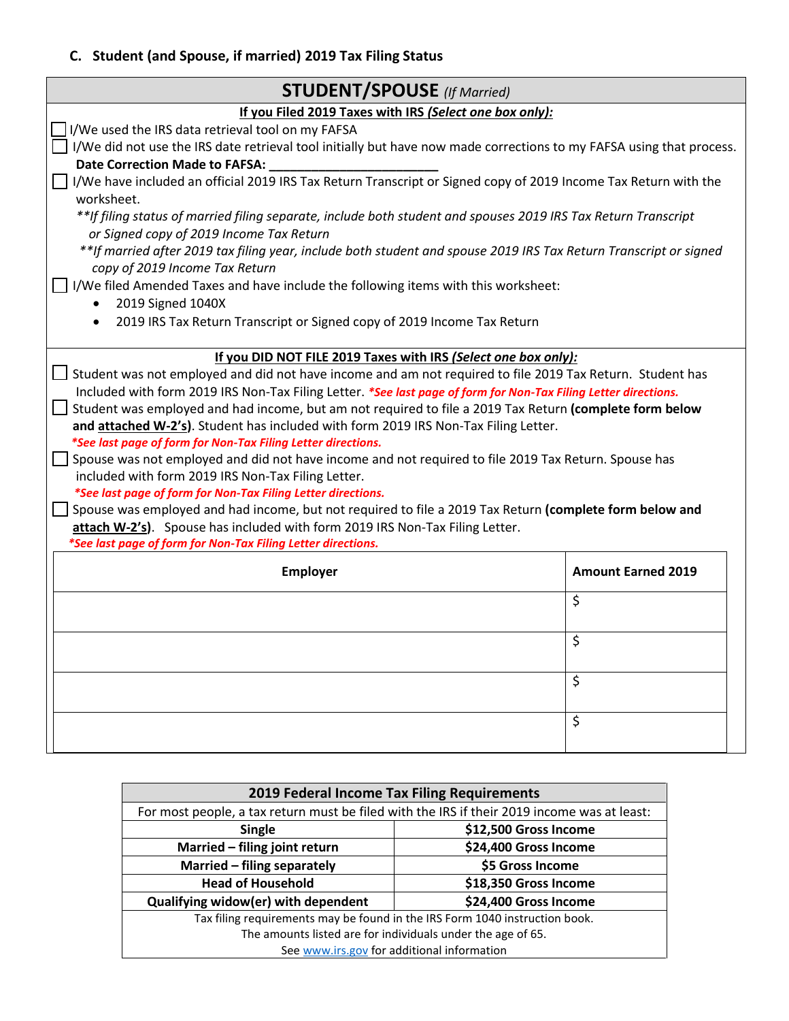## **C. Student (and Spouse, if married) 2019 Tax Filing Status**

| <b>STUDENT/SPOUSE</b> (If Married)                                                                                                                         |                           |  |  |  |
|------------------------------------------------------------------------------------------------------------------------------------------------------------|---------------------------|--|--|--|
| If you Filed 2019 Taxes with IRS (Select one box only):                                                                                                    |                           |  |  |  |
| I/We used the IRS data retrieval tool on my FAFSA                                                                                                          |                           |  |  |  |
| I/We did not use the IRS date retrieval tool initially but have now made corrections to my FAFSA using that process.                                       |                           |  |  |  |
| Date Correction Made to FAFSA:                                                                                                                             |                           |  |  |  |
| I/We have included an official 2019 IRS Tax Return Transcript or Signed copy of 2019 Income Tax Return with the                                            |                           |  |  |  |
| worksheet.                                                                                                                                                 |                           |  |  |  |
| **If filing status of married filing separate, include both student and spouses 2019 IRS Tax Return Transcript<br>or Signed copy of 2019 Income Tax Return |                           |  |  |  |
| **If married after 2019 tax filing year, include both student and spouse 2019 IRS Tax Return Transcript or signed<br>copy of 2019 Income Tax Return        |                           |  |  |  |
| I/We filed Amended Taxes and have include the following items with this worksheet:                                                                         |                           |  |  |  |
| 2019 Signed 1040X                                                                                                                                          |                           |  |  |  |
| 2019 IRS Tax Return Transcript or Signed copy of 2019 Income Tax Return                                                                                    |                           |  |  |  |
|                                                                                                                                                            |                           |  |  |  |
| If you DID NOT FILE 2019 Taxes with IRS (Select one box only):                                                                                             |                           |  |  |  |
| Student was not employed and did not have income and am not required to file 2019 Tax Return. Student has                                                  |                           |  |  |  |
| Included with form 2019 IRS Non-Tax Filing Letter. *See last page of form for Non-Tax Filing Letter directions.                                            |                           |  |  |  |
| Student was employed and had income, but am not required to file a 2019 Tax Return (complete form below                                                    |                           |  |  |  |
| and attached W-2's). Student has included with form 2019 IRS Non-Tax Filing Letter.                                                                        |                           |  |  |  |
| *See last page of form for Non-Tax Filing Letter directions.                                                                                               |                           |  |  |  |
| Spouse was not employed and did not have income and not required to file 2019 Tax Return. Spouse has                                                       |                           |  |  |  |
| included with form 2019 IRS Non-Tax Filing Letter.                                                                                                         |                           |  |  |  |
| *See last page of form for Non-Tax Filing Letter directions.                                                                                               |                           |  |  |  |
| Spouse was employed and had income, but not required to file a 2019 Tax Return (complete form below and                                                    |                           |  |  |  |
| attach W-2's). Spouse has included with form 2019 IRS Non-Tax Filing Letter.                                                                               |                           |  |  |  |
| *See last page of form for Non-Tax Filing Letter directions.                                                                                               |                           |  |  |  |
| Employer                                                                                                                                                   | <b>Amount Earned 2019</b> |  |  |  |
|                                                                                                                                                            | $\zeta$                   |  |  |  |
|                                                                                                                                                            |                           |  |  |  |
| $\zeta$                                                                                                                                                    |                           |  |  |  |
|                                                                                                                                                            |                           |  |  |  |
| \$                                                                                                                                                         |                           |  |  |  |
|                                                                                                                                                            |                           |  |  |  |
| \$                                                                                                                                                         |                           |  |  |  |
|                                                                                                                                                            |                           |  |  |  |

| 2019 Federal Income Tax Filing Requirements                                                 |                  |  |  |
|---------------------------------------------------------------------------------------------|------------------|--|--|
| For most people, a tax return must be filed with the IRS if their 2019 income was at least: |                  |  |  |
| \$12,500 Gross Income<br><b>Single</b>                                                      |                  |  |  |
| Married - filing joint return<br>\$24,400 Gross Income                                      |                  |  |  |
| Married - filing separately                                                                 | \$5 Gross Income |  |  |
| <b>Head of Household</b><br>\$18,350 Gross Income                                           |                  |  |  |
| Qualifying widow(er) with dependent<br>\$24,400 Gross Income                                |                  |  |  |
| Tax filing requirements may be found in the IRS Form 1040 instruction book.                 |                  |  |  |
| The amounts listed are for individuals under the age of 65.                                 |                  |  |  |
| See www.irs.gov for additional information                                                  |                  |  |  |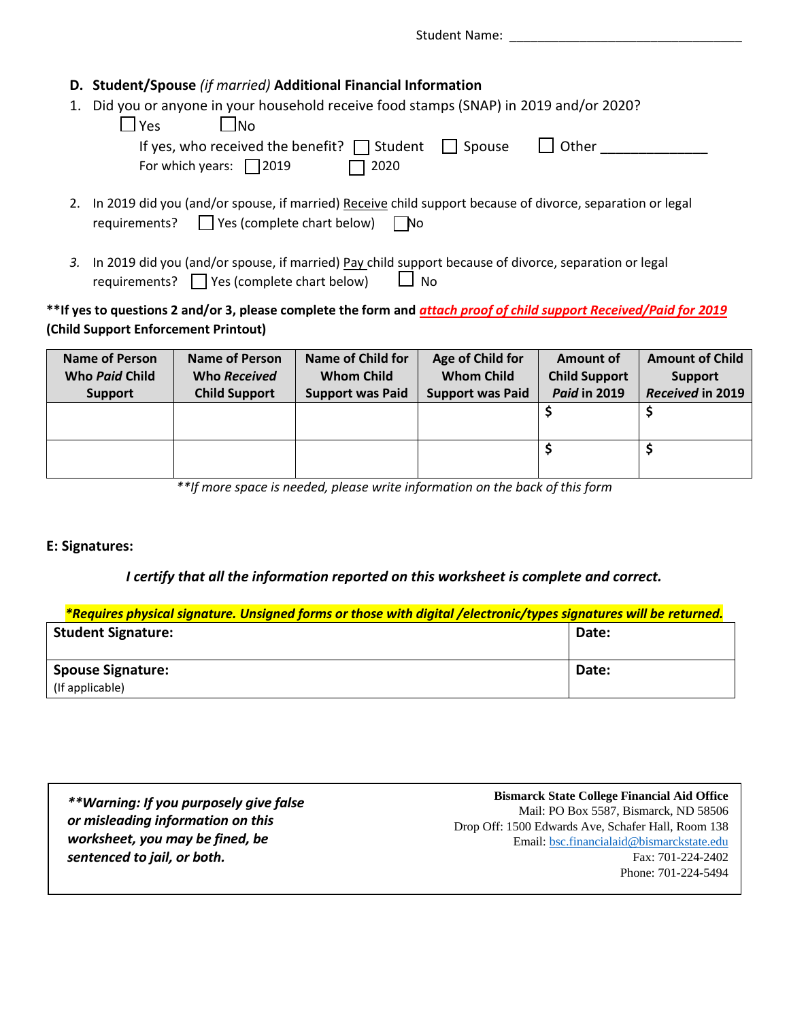Student Name:

### **D. Student/Spouse** *(if married)* **Additional Financial Information**

1. Did you or anyone in your household receive food stamps (SNAP) in 2019 and/or 2020?

| $\Box$ Yes<br>- INo                                            |             |       |
|----------------------------------------------------------------|-------------|-------|
| If yes, who received the benefit? $\Box$ Student $\Box$ Spouse |             | Other |
| For which years: $\Box$ 2019                                   | $\Box$ 2020 |       |

- 2. In 2019 did you (and/or spouse, if married) Receive child support because of divorce, separation or legal requirements? Yes (complete chart below)No
- 3. In 2019 did you (and/or spouse, if married) Pay child support because of divorce, separation or legal requirements?  $\Box$  Yes (complete chart below)  $\Box$  No

### **\*\*If yes to questions 2 and/or 3, please complete the form and** *attach proof of child support Received/Paid for 2019* **(Child Support Enforcement Printout)**

| <b>Name of Person</b> | <b>Name of Person</b> | Name of Child for       | Age of Child for        | Amount of            | <b>Amount of Child</b> |
|-----------------------|-----------------------|-------------------------|-------------------------|----------------------|------------------------|
| Who Paid Child        | Who Received          | <b>Whom Child</b>       | <b>Whom Child</b>       | <b>Child Support</b> | <b>Support</b>         |
| <b>Support</b>        | <b>Child Support</b>  | <b>Support was Paid</b> | <b>Support was Paid</b> | <b>Paid in 2019</b>  | Received in 2019       |
|                       |                       |                         |                         |                      |                        |
|                       |                       |                         |                         |                      |                        |
|                       |                       |                         |                         |                      |                        |
|                       |                       |                         |                         |                      |                        |

*\*\*If more space is needed, please write information on the back of this form*

### **E: Signatures:**

### *I certify that all the information reported on this worksheet is complete and correct.*

| *Requires physical signature. Unsigned forms or those with digital /electronic/types signatures will be returned. |       |  |  |
|-------------------------------------------------------------------------------------------------------------------|-------|--|--|
| <b>Student Signature:</b>                                                                                         | Date: |  |  |
|                                                                                                                   |       |  |  |
| <b>Spouse Signature:</b>                                                                                          | Date: |  |  |
| (If applicable)                                                                                                   |       |  |  |

| **Warning: If you purposely give false |         |
|----------------------------------------|---------|
| or misleading information on this      | Drop Of |
| worksheet, you may be fined, be        |         |
| sentenced to jail, or both.            |         |
|                                        |         |

**Bismarck State College Financial Aid Office** Mail: PO Box 5587, Bismarck, ND 58506 ff: 1500 Edwards Ave, Schafer Hall, Room 138 Email: bsc.financialaid@bismarckstate.edu Fax: 701-224-2402 Phone: 701-224-5494